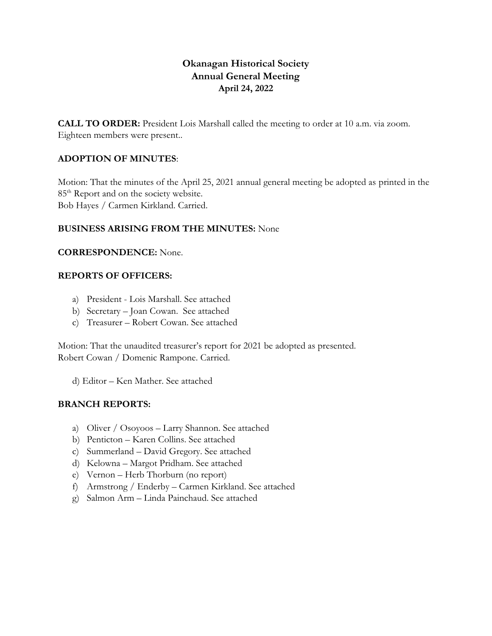## **Okanagan Historical Society Annual General Meeting April 24, 2022**

**CALL TO ORDER:** President Lois Marshall called the meeting to order at 10 a.m. via zoom. Eighteen members were present..

## **ADOPTION OF MINUTES**:

Motion: That the minutes of the April 25, 2021 annual general meeting be adopted as printed in the 85<sup>th</sup> Report and on the society website. Bob Hayes / Carmen Kirkland. Carried.

### **BUSINESS ARISING FROM THE MINUTES:** None

### **CORRESPONDENCE:** None.

### **REPORTS OF OFFICERS:**

- a) President Lois Marshall. See attached
- b) Secretary Joan Cowan. See attached
- c) Treasurer Robert Cowan. See attached

Motion: That the unaudited treasurer's report for 2021 be adopted as presented. Robert Cowan / Domenic Rampone. Carried.

d) Editor – Ken Mather. See attached

## **BRANCH REPORTS:**

- a) Oliver / Osoyoos Larry Shannon. See attached
- b) Penticton Karen Collins. See attached
- c) Summerland David Gregory. See attached
- d) Kelowna Margot Pridham. See attached
- e) Vernon Herb Thorburn (no report)
- f) Armstrong / Enderby Carmen Kirkland. See attached
- g) Salmon Arm Linda Painchaud. See attached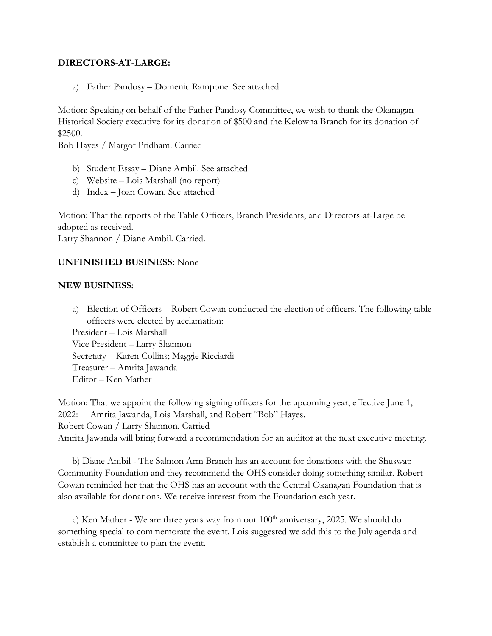#### **DIRECTORS-AT-LARGE:**

a) Father Pandosy – Domenic Rampone. See attached

Motion: Speaking on behalf of the Father Pandosy Committee, we wish to thank the Okanagan Historical Society executive for its donation of \$500 and the Kelowna Branch for its donation of \$2500.

Bob Hayes / Margot Pridham. Carried

- b) Student Essay Diane Ambil. See attached
- c) Website Lois Marshall (no report)
- d) Index Joan Cowan. See attached

Motion: That the reports of the Table Officers, Branch Presidents, and Directors-at-Large be adopted as received.

Larry Shannon / Diane Ambil. Carried.

#### **UNFINISHED BUSINESS:** None

#### **NEW BUSINESS:**

a) Election of Officers – Robert Cowan conducted the election of officers. The following table officers were elected by acclamation:

President – Lois Marshall Vice President – Larry Shannon Secretary – Karen Collins; Maggie Ricciardi Treasurer – Amrita Jawanda Editor – Ken Mather

Motion: That we appoint the following signing officers for the upcoming year, effective June 1, 2022: Amrita Jawanda, Lois Marshall, and Robert "Bob" Hayes. Robert Cowan / Larry Shannon. Carried Amrita Jawanda will bring forward a recommendation for an auditor at the next executive meeting.

b) Diane Ambil - The Salmon Arm Branch has an account for donations with the Shuswap Community Foundation and they recommend the OHS consider doing something similar. Robert Cowan reminded her that the OHS has an account with the Central Okanagan Foundation that is also available for donations. We receive interest from the Foundation each year.

c) Ken Mather - We are three years way from our  $100^{\text{th}}$  anniversary, 2025. We should do something special to commemorate the event. Lois suggested we add this to the July agenda and establish a committee to plan the event.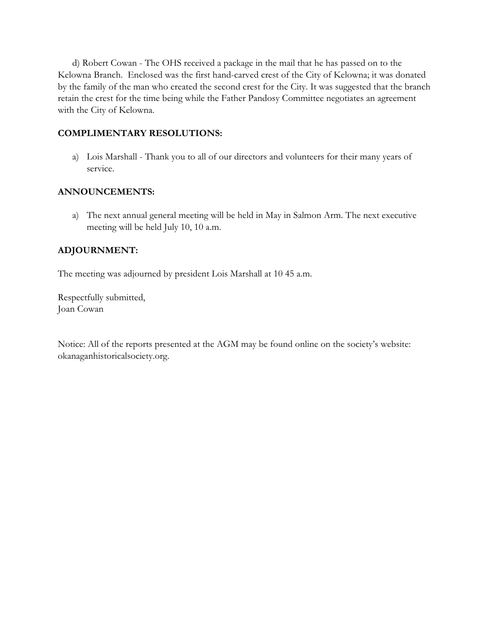d) Robert Cowan - The OHS received a package in the mail that he has passed on to the Kelowna Branch. Enclosed was the first hand-carved crest of the City of Kelowna; it was donated by the family of the man who created the second crest for the City. It was suggested that the branch retain the crest for the time being while the Father Pandosy Committee negotiates an agreement with the City of Kelowna.

## **COMPLIMENTARY RESOLUTIONS:**

a) Lois Marshall - Thank you to all of our directors and volunteers for their many years of service.

## **ANNOUNCEMENTS:**

a) The next annual general meeting will be held in May in Salmon Arm. The next executive meeting will be held July 10, 10 a.m.

## **ADJOURNMENT:**

The meeting was adjourned by president Lois Marshall at 10 45 a.m.

Respectfully submitted, Joan Cowan

Notice: All of the reports presented at the AGM may be found online on the society's website: okanaganhistoricalsociety.org.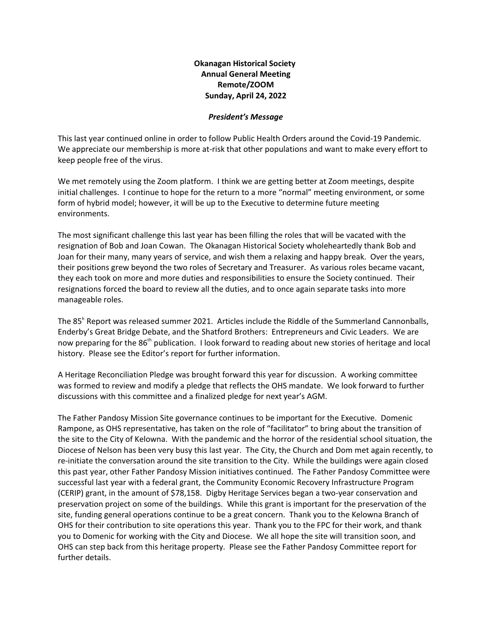**Okanagan Historical Society Annual General Meeting Remote/ZOOM Sunday, April 24, 2022**

#### *President's Message*

This last year continued online in order to follow Public Health Orders around the Covid-19 Pandemic. We appreciate our membership is more at-risk that other populations and want to make every effort to keep people free of the virus.

We met remotely using the Zoom platform. I think we are getting better at Zoom meetings, despite initial challenges. I continue to hope for the return to a more "normal" meeting environment, or some form of hybrid model; however, it will be up to the Executive to determine future meeting environments.

The most significant challenge this last year has been filling the roles that will be vacated with the resignation of Bob and Joan Cowan. The Okanagan Historical Society wholeheartedly thank Bob and Joan for their many, many years of service, and wish them a relaxing and happy break. Over the years, their positions grew beyond the two roles of Secretary and Treasurer. As various roles became vacant, they each took on more and more duties and responsibilities to ensure the Society continued. Their resignations forced the board to review all the duties, and to once again separate tasks into more manageable roles.

The 85<sup>h</sup> Report was released summer 2021. Articles include the Riddle of the Summerland Cannonballs, Enderby's Great Bridge Debate, and the Shatford Brothers: Entrepreneurs and Civic Leaders. We are now preparing for the 86<sup>th</sup> publication. I look forward to reading about new stories of heritage and local history. Please see the Editor's report for further information.

A Heritage Reconciliation Pledge was brought forward this year for discussion. A working committee was formed to review and modify a pledge that reflects the OHS mandate. We look forward to further discussions with this committee and a finalized pledge for next year's AGM.

The Father Pandosy Mission Site governance continues to be important for the Executive. Domenic Rampone, as OHS representative, has taken on the role of "facilitator" to bring about the transition of the site to the City of Kelowna. With the pandemic and the horror of the residential school situation, the Diocese of Nelson has been very busy this last year. The City, the Church and Dom met again recently, to re-initiate the conversation around the site transition to the City. While the buildings were again closed this past year, other Father Pandosy Mission initiatives continued. The Father Pandosy Committee were successful last year with a federal grant, the Community Economic Recovery Infrastructure Program (CERIP) grant, in the amount of \$78,158. Digby Heritage Services began a two-year conservation and preservation project on some of the buildings. While this grant is important for the preservation of the site, funding general operations continue to be a great concern. Thank you to the Kelowna Branch of OHS for their contribution to site operations this year. Thank you to the FPC for their work, and thank you to Domenic for working with the City and Diocese. We all hope the site will transition soon, and OHS can step back from this heritage property. Please see the Father Pandosy Committee report for further details.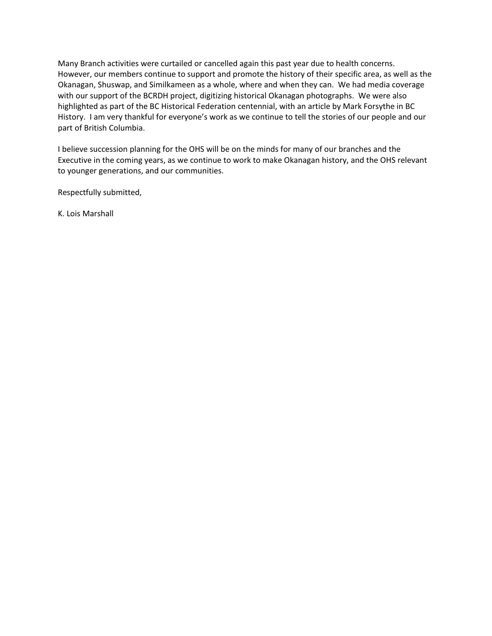Many Branch activities were curtailed or cancelled again this past year due to health concerns. However, our members continue to support and promote the history of their specific area, as well as the Okanagan, Shuswap, and Similkameen as a whole, where and when they can. We had media coverage with our support of the BCRDH project, digitizing historical Okanagan photographs. We were also highlighted as part of the BC Historical Federation centennial, with an article by Mark Forsythe in BC History. I am very thankful for everyone's work as we continue to tell the stories of our people and our part of British Columbia.

I believe succession planning for the OHS will be on the minds for many of our branches and the Executive in the coming years, as we continue to work to make Okanagan history, and the OHS relevant to younger generations, and our communities.

Respectfully submitted,

K. Lois Marshall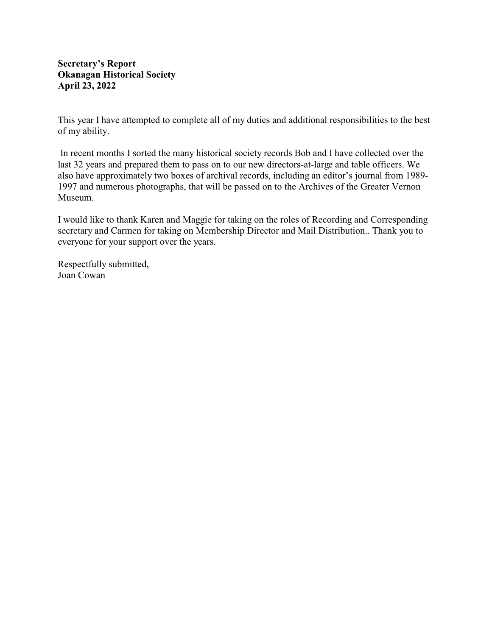## **Secretary's Report Okanagan Historical Society April 23, 2022**

This year I have attempted to complete all of my duties and additional responsibilities to the best of my ability.

 In recent months I sorted the many historical society records Bob and I have collected over the last 32 years and prepared them to pass on to our new directors-at-large and table officers. We also have approximately two boxes of archival records, including an editor's journal from 1989- 1997 and numerous photographs, that will be passed on to the Archives of the Greater Vernon Museum.

I would like to thank Karen and Maggie for taking on the roles of Recording and Corresponding secretary and Carmen for taking on Membership Director and Mail Distribution.. Thank you to everyone for your support over the years.

Respectfully submitted, Joan Cowan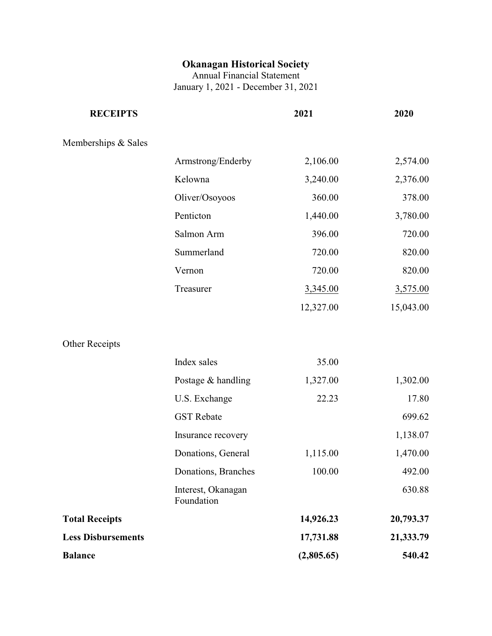# **Okanagan Historical Society**

Annual Financial Statement January 1, 2021 - December 31, 2021

| 2,106.00   | 2,574.00                                                                                                                                                                                                                                                                                         |
|------------|--------------------------------------------------------------------------------------------------------------------------------------------------------------------------------------------------------------------------------------------------------------------------------------------------|
|            | 3,240.00<br>2,376.00                                                                                                                                                                                                                                                                             |
|            | 360.00<br>378.00                                                                                                                                                                                                                                                                                 |
|            | 1,440.00<br>3,780.00                                                                                                                                                                                                                                                                             |
|            | 720.00<br>396.00                                                                                                                                                                                                                                                                                 |
|            | 720.00<br>820.00                                                                                                                                                                                                                                                                                 |
|            | 720.00<br>820.00                                                                                                                                                                                                                                                                                 |
|            | 3,345.00<br>3,575.00                                                                                                                                                                                                                                                                             |
| 12,327.00  | 15,043.00                                                                                                                                                                                                                                                                                        |
|            |                                                                                                                                                                                                                                                                                                  |
|            | 35.00                                                                                                                                                                                                                                                                                            |
|            | 1,327.00<br>1,302.00                                                                                                                                                                                                                                                                             |
|            | 17.80<br>22.23                                                                                                                                                                                                                                                                                   |
|            | 699.62                                                                                                                                                                                                                                                                                           |
|            | 1,138.07                                                                                                                                                                                                                                                                                         |
|            | 1,470.00<br>1,115.00                                                                                                                                                                                                                                                                             |
|            | 100.00<br>492.00                                                                                                                                                                                                                                                                                 |
|            | 630.88                                                                                                                                                                                                                                                                                           |
| 14,926.23  | 20,793.37                                                                                                                                                                                                                                                                                        |
| 17,731.88  | 21,333.79                                                                                                                                                                                                                                                                                        |
| (2,805.65) | 540.42                                                                                                                                                                                                                                                                                           |
|            | Armstrong/Enderby<br>Kelowna<br>Oliver/Osoyoos<br>Penticton<br>Salmon Arm<br>Summerland<br>Vernon<br>Treasurer<br>Index sales<br>Postage & handling<br>U.S. Exchange<br><b>GST</b> Rebate<br>Insurance recovery<br>Donations, General<br>Donations, Branches<br>Interest, Okanagan<br>Foundation |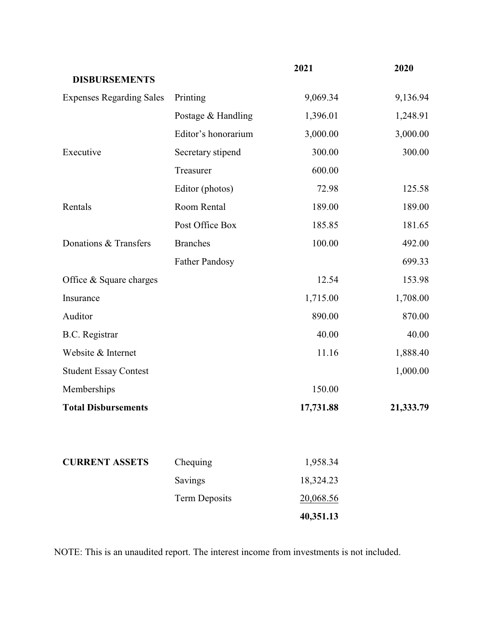|                                 |                       | 2021      | 2020      |
|---------------------------------|-----------------------|-----------|-----------|
| <b>DISBURSEMENTS</b>            |                       |           |           |
| <b>Expenses Regarding Sales</b> | Printing              | 9,069.34  | 9,136.94  |
|                                 | Postage & Handling    | 1,396.01  | 1,248.91  |
|                                 | Editor's honorarium   | 3,000.00  | 3,000.00  |
| Executive                       | Secretary stipend     | 300.00    | 300.00    |
|                                 | Treasurer             | 600.00    |           |
|                                 | Editor (photos)       | 72.98     | 125.58    |
| Rentals                         | Room Rental           | 189.00    | 189.00    |
|                                 | Post Office Box       | 185.85    | 181.65    |
| Donations & Transfers           | <b>Branches</b>       | 100.00    | 492.00    |
|                                 | <b>Father Pandosy</b> |           | 699.33    |
| Office & Square charges         |                       | 12.54     | 153.98    |
| Insurance                       |                       | 1,715.00  | 1,708.00  |
| Auditor                         |                       | 890.00    | 870.00    |
| <b>B.C.</b> Registrar           |                       | 40.00     | 40.00     |
| Website & Internet              |                       | 11.16     | 1,888.40  |
| <b>Student Essay Contest</b>    |                       |           | 1,000.00  |
| Memberships                     |                       | 150.00    |           |
| <b>Total Disbursements</b>      |                       | 17,731.88 | 21,333.79 |
|                                 |                       |           |           |
| <b>CURRENT ASSETS</b>           | Chequing              | 1,958.34  |           |
|                                 | Savings               | 18,324.23 |           |
|                                 | <b>Term Deposits</b>  | 20,068.56 |           |
|                                 |                       | 40,351.13 |           |

NOTE: This is an unaudited report. The interest income from investments is not included.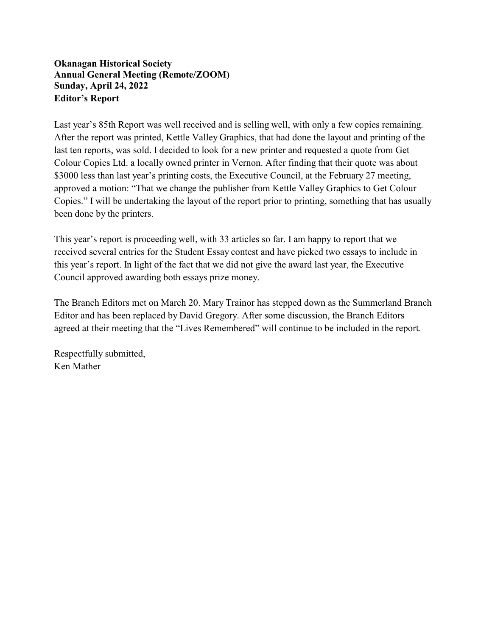## **Okanagan Historical Society Annual General Meeting (Remote/ZOOM) Sunday, April 24, 2022 Editor's Report**

Last year's 85th Report was well received and is selling well, with only a few copies remaining. After the report was printed, Kettle Valley Graphics, that had done the layout and printing of the last ten reports, was sold. I decided to look for a new printer and requested a quote from Get Colour Copies Ltd. a locally owned printer in Vernon. After finding that their quote was about \$3000 less than last year's printing costs, the Executive Council, at the February 27 meeting, approved a motion: "That we change the publisher from Kettle Valley Graphics to Get Colour Copies." I will be undertaking the layout of the report prior to printing, something that has usually been done by the printers.

This year's report is proceeding well, with 33 articles so far. I am happy to report that we received several entries for the Student Essay contest and have picked two essays to include in this year's report. In light of the fact that we did not give the award last year, the Executive Council approved awarding both essays prize money.

The Branch Editors met on March 20. Mary Trainor has stepped down as the Summerland Branch Editor and has been replaced by David Gregory. After some discussion, the Branch Editors agreed at their meeting that the "Lives Remembered" will continue to be included in the report.

Respectfully submitted, Ken Mather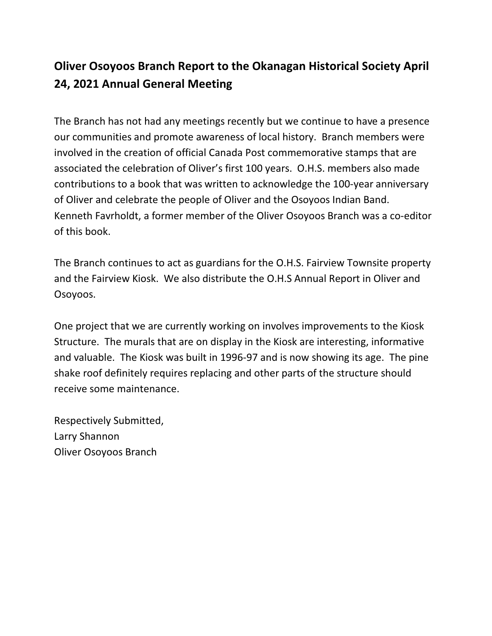# **Oliver Osoyoos Branch Report to the Okanagan Historical Society April 24, 2021 Annual General Meeting**

The Branch has not had any meetings recently but we continue to have a presence our communities and promote awareness of local history. Branch members were involved in the creation of official Canada Post commemorative stamps that are associated the celebration of Oliver's first 100 years. O.H.S. members also made contributions to a book that was written to acknowledge the 100-year anniversary of Oliver and celebrate the people of Oliver and the Osoyoos Indian Band. Kenneth Favrholdt, a former member of the Oliver Osoyoos Branch was a co-editor of this book.

The Branch continues to act as guardians for the O.H.S. Fairview Townsite property and the Fairview Kiosk. We also distribute the O.H.S Annual Report in Oliver and Osoyoos.

One project that we are currently working on involves improvements to the Kiosk Structure. The murals that are on display in the Kiosk are interesting, informative and valuable. The Kiosk was built in 1996-97 and is now showing its age. The pine shake roof definitely requires replacing and other parts of the structure should receive some maintenance.

Respectively Submitted, Larry Shannon Oliver Osoyoos Branch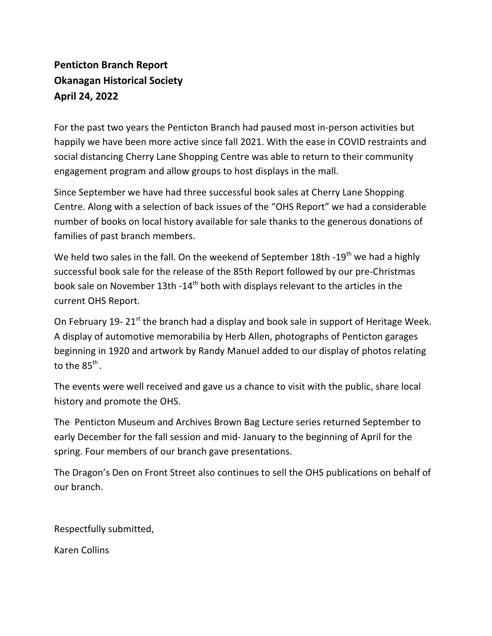# **Penticton Branch Report Okanagan Historical Society April 24, 2022**

For the past two years the Penticton Branch had paused most in-person activities but happily we have been more active since fall 2021. With the ease in COVID restraints and social distancing Cherry Lane Shopping Centre was able to return to their community engagement program and allow groups to host displays in the mall.

Since September we have had three successful book sales at Cherry Lane Shopping Centre. Along with a selection of back issues of the "OHS Report" we had a considerable number of books on local history available for sale thanks to the generous donations of families of past branch members.

We held two sales in the fall. On the weekend of September 18th -19<sup>th</sup> we had a highly successful book sale for the release of the 85th Report followed by our pre-Christmas book sale on November 13th -14<sup>th</sup> both with displays relevant to the articles in the current OHS Report.

On February 19-21<sup>st</sup> the branch had a display and book sale in support of Heritage Week. A display of automotive memorabilia by Herb Allen, photographs of Penticton garages beginning in 1920 and artwork by Randy Manuel added to our display of photos relating to the 85<sup>th</sup>.

The events were well received and gave us a chance to visit with the public, share local history and promote the OHS.

The Penticton Museum and Archives Brown Bag Lecture series returned September to early December for the fall session and mid- January to the beginning of April for the spring. Four members of our branch gave presentations.

The Dragon's Den on Front Street also continues to sell the OHS publications on behalf of our branch.

Respectfully submitted,

Karen Collins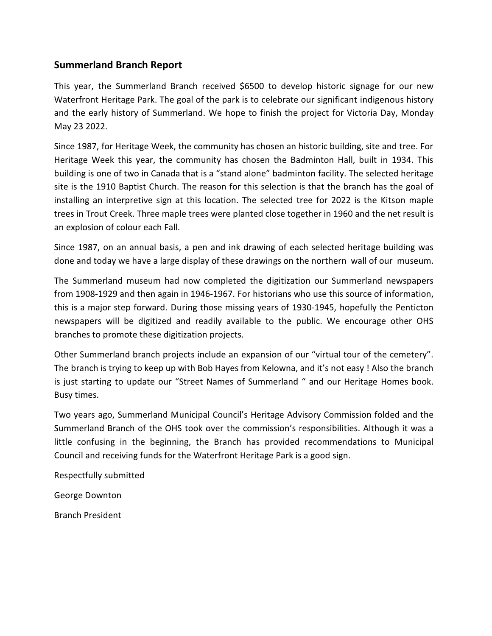## **Summerland Branch Report**

This year, the Summerland Branch received \$6500 to develop historic signage for our new Waterfront Heritage Park. The goal of the park is to celebrate our significant indigenous history and the early history of Summerland. We hope to finish the project for Victoria Day, Monday May 23 2022.

Since 1987, for Heritage Week, the community has chosen an historic building, site and tree. For Heritage Week this year, the community has chosen the Badminton Hall, built in 1934. This building is one of two in Canada that is a "stand alone" badminton facility. The selected heritage site is the 1910 Baptist Church. The reason for this selection is that the branch has the goal of installing an interpretive sign at this location. The selected tree for 2022 is the Kitson maple trees in Trout Creek. Three maple trees were planted close together in 1960 and the net result is an explosion of colour each Fall.

Since 1987, on an annual basis, a pen and ink drawing of each selected heritage building was done and today we have a large display of these drawings on the northern wall of our museum.

The Summerland museum had now completed the digitization our Summerland newspapers from 1908-1929 and then again in 1946-1967. For historians who use this source of information, this is a major step forward. During those missing years of 1930-1945, hopefully the Penticton newspapers will be digitized and readily available to the public. We encourage other OHS branches to promote these digitization projects.

Other Summerland branch projects include an expansion of our "virtual tour of the cemetery". The branch is trying to keep up with Bob Hayes from Kelowna, and it's not easy ! Also the branch is just starting to update our "Street Names of Summerland " and our Heritage Homes book. Busy times.

Two years ago, Summerland Municipal Council's Heritage Advisory Commission folded and the Summerland Branch of the OHS took over the commission's responsibilities. Although it was a little confusing in the beginning, the Branch has provided recommendations to Municipal Council and receiving funds for the Waterfront Heritage Park is a good sign.

Respectfully submitted

George Downton

Branch President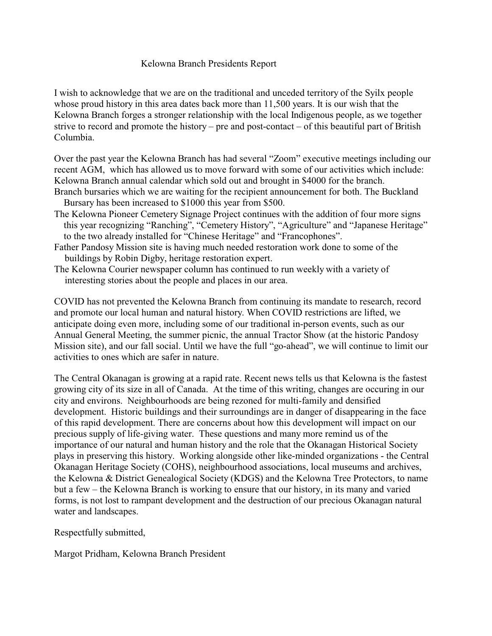## Kelowna Branch Presidents Report

I wish to acknowledge that we are on the traditional and unceded territory of the Syilx people whose proud history in this area dates back more than 11,500 years. It is our wish that the Kelowna Branch forges a stronger relationship with the local Indigenous people, as we together strive to record and promote the history – pre and post-contact – of this beautiful part of British Columbia.

Over the past year the Kelowna Branch has had several "Zoom" executive meetings including our recent AGM, which has allowed us to move forward with some of our activities which include: Kelowna Branch annual calendar which sold out and brought in \$4000 for the branch.

- Branch bursaries which we are waiting for the recipient announcement for both. The Buckland Bursary has been increased to \$1000 this year from \$500.
- The Kelowna Pioneer Cemetery Signage Project continues with the addition of four more signs this year recognizing "Ranching", "Cemetery History", "Agriculture" and "Japanese Heritage" to the two already installed for "Chinese Heritage" and "Francophones".
- Father Pandosy Mission site is having much needed restoration work done to some of the buildings by Robin Digby, heritage restoration expert.
- The Kelowna Courier newspaper column has continued to run weekly with a variety of interesting stories about the people and places in our area.

COVID has not prevented the Kelowna Branch from continuing its mandate to research, record and promote our local human and natural history. When COVID restrictions are lifted, we anticipate doing even more, including some of our traditional in-person events, such as our Annual General Meeting, the summer picnic, the annual Tractor Show (at the historic Pandosy Mission site), and our fall social. Until we have the full "go-ahead", we will continue to limit our activities to ones which are safer in nature.

The Central Okanagan is growing at a rapid rate. Recent news tells us that Kelowna is the fastest growing city of its size in all of Canada. At the time of this writing, changes are occuring in our city and environs. Neighbourhoods are being rezoned for multi-family and densified development. Historic buildings and their surroundings are in danger of disappearing in the face of this rapid development. There are concerns about how this development will impact on our precious supply of life-giving water. These questions and many more remind us of the importance of our natural and human history and the role that the Okanagan Historical Society plays in preserving this history. Working alongside other like-minded organizations - the Central Okanagan Heritage Society (COHS), neighbourhood associations, local museums and archives, the Kelowna & District Genealogical Society (KDGS) and the Kelowna Tree Protectors, to name but a few – the Kelowna Branch is working to ensure that our history, in its many and varied forms, is not lost to rampant development and the destruction of our precious Okanagan natural water and landscapes.

Respectfully submitted,

Margot Pridham, Kelowna Branch President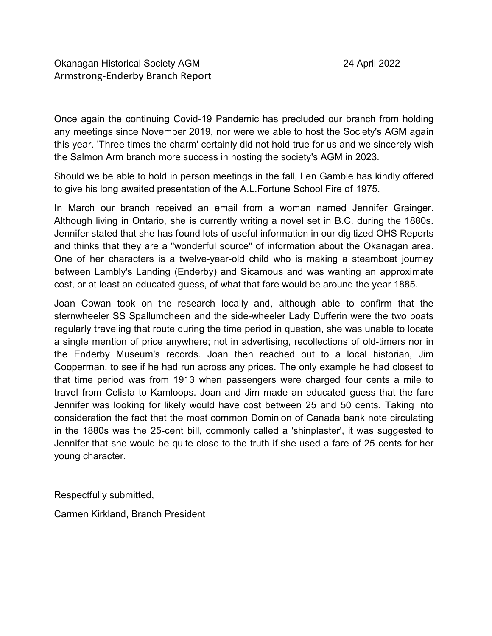Once again the continuing Covid-19 Pandemic has precluded our branch from holding any meetings since November 2019, nor were we able to host the Society's AGM again this year. 'Three times the charm' certainly did not hold true for us and we sincerely wish the Salmon Arm branch more success in hosting the society's AGM in 2023.

Should we be able to hold in person meetings in the fall, Len Gamble has kindly offered to give his long awaited presentation of the A.L.Fortune School Fire of 1975.

In March our branch received an email from a woman named Jennifer Grainger. Although living in Ontario, she is currently writing a novel set in B.C. during the 1880s. Jennifer stated that she has found lots of useful information in our digitized OHS Reports and thinks that they are a "wonderful source" of information about the Okanagan area. One of her characters is a twelve-year-old child who is making a steamboat journey between Lambly's Landing (Enderby) and Sicamous and was wanting an approximate cost, or at least an educated guess, of what that fare would be around the year 1885.

Joan Cowan took on the research locally and, although able to confirm that the sternwheeler SS Spallumcheen and the side-wheeler Lady Dufferin were the two boats regularly traveling that route during the time period in question, she was unable to locate a single mention of price anywhere; not in advertising, recollections of old-timers nor in the Enderby Museum's records. Joan then reached out to a local historian, Jim Cooperman, to see if he had run across any prices. The only example he had closest to that time period was from 1913 when passengers were charged four cents a mile to travel from Celista to Kamloops. Joan and Jim made an educated guess that the fare Jennifer was looking for likely would have cost between 25 and 50 cents. Taking into consideration the fact that the most common Dominion of Canada bank note circulating in the 1880s was the 25-cent bill, commonly called a 'shinplaster', it was suggested to Jennifer that she would be quite close to the truth if she used a fare of 25 cents for her young character.

Respectfully submitted,

Carmen Kirkland, Branch President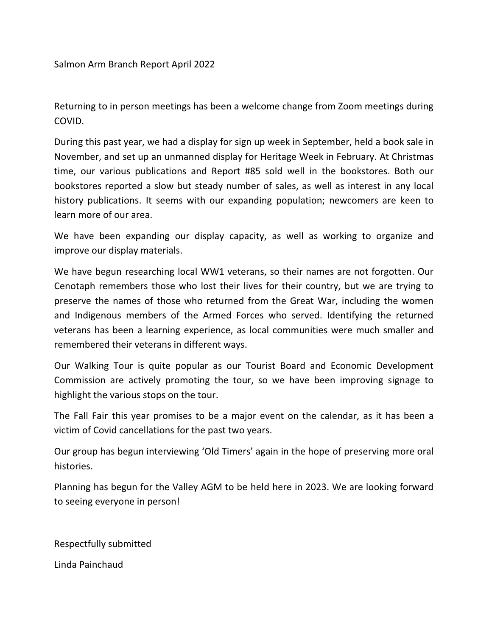Salmon Arm Branch Report April 2022

Returning to in person meetings has been a welcome change from Zoom meetings during COVID.

During this past year, we had a display for sign up week in September, held a book sale in November, and set up an unmanned display for Heritage Week in February. At Christmas time, our various publications and Report #85 sold well in the bookstores. Both our bookstores reported a slow but steady number of sales, as well as interest in any local history publications. It seems with our expanding population; newcomers are keen to learn more of our area.

We have been expanding our display capacity, as well as working to organize and improve our display materials.

We have begun researching local WW1 veterans, so their names are not forgotten. Our Cenotaph remembers those who lost their lives for their country, but we are trying to preserve the names of those who returned from the Great War, including the women and Indigenous members of the Armed Forces who served. Identifying the returned veterans has been a learning experience, as local communities were much smaller and remembered their veterans in different ways.

Our Walking Tour is quite popular as our Tourist Board and Economic Development Commission are actively promoting the tour, so we have been improving signage to highlight the various stops on the tour.

The Fall Fair this year promises to be a major event on the calendar, as it has been a victim of Covid cancellations for the past two years.

Our group has begun interviewing 'Old Timers' again in the hope of preserving more oral histories.

Planning has begun for the Valley AGM to be held here in 2023. We are looking forward to seeing everyone in person!

Respectfully submitted

Linda Painchaud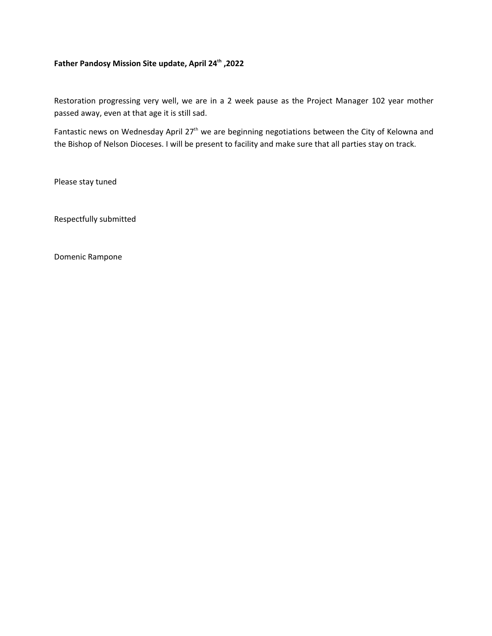#### **Father Pandosy Mission Site update, April 24th ,2022**

Restoration progressing very well, we are in a 2 week pause as the Project Manager 102 year mother passed away, even at that age it is still sad.

Fantastic news on Wednesday April 27<sup>th</sup> we are beginning negotiations between the City of Kelowna and the Bishop of Nelson Dioceses. I will be present to facility and make sure that all parties stay on track.

Please stay tuned

Respectfully submitted

Domenic Rampone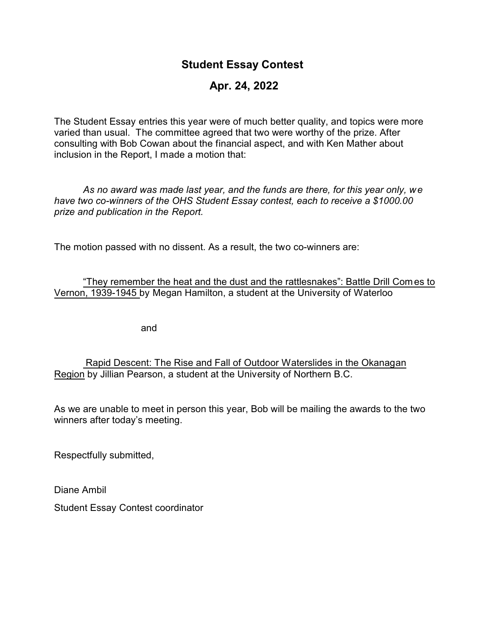## **Student Essay Contest**

## **Apr. 24, 2022**

The Student Essay entries this year were of much better quality, and topics were more varied than usual. The committee agreed that two were worthy of the prize. After consulting with Bob Cowan about the financial aspect, and with Ken Mather about inclusion in the Report, I made a motion that:

*As no award was made last year, and the funds are there, for this year only, we have two co-winners of the OHS Student Essay contest, each to receive a \$1000.00 prize and publication in the Report.* 

The motion passed with no dissent. As a result, the two co-winners are:

"They remember the heat and the dust and the rattlesnakes": Battle Drill Comes to Vernon, 1939-1945 by Megan Hamilton, a student at the University of Waterloo

and

 Rapid Descent: The Rise and Fall of Outdoor Waterslides in the Okanagan Region by Jillian Pearson, a student at the University of Northern B.C.

As we are unable to meet in person this year, Bob will be mailing the awards to the two winners after today's meeting.

Respectfully submitted,

Diane Ambil

Student Essay Contest coordinator